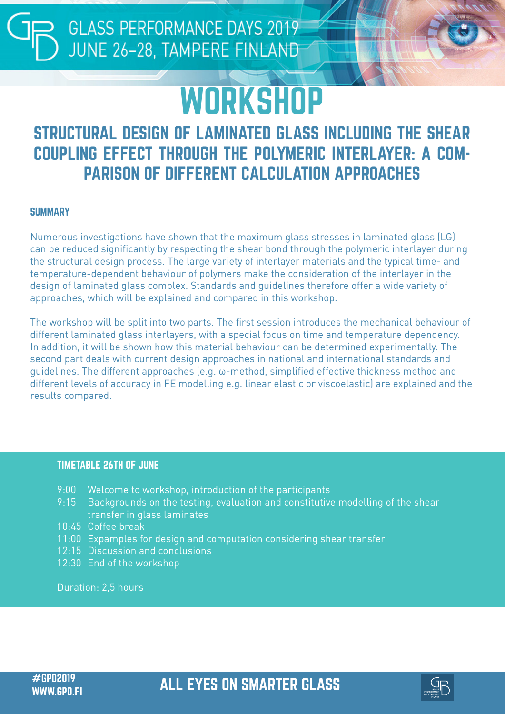**GLASS PERFORMANCE DAYS 2019** JUNE 26-28, TAMPERE FINLAND

# **WORKSHOP**

### STRUCTURAL DESIGN OF LAMINATED GLASS INCLUDING THE SHEAR COUPLING EFFECT THROUGH THE POLYMERIC INTERLAYER: A COM-PARISON OF DIFFERENT CALCULATION APPROACHES

#### **SUMMARY**

Numerous investigations have shown that the maximum glass stresses in laminated glass (LG) can be reduced significantly by respecting the shear bond through the polymeric interlayer during the structural design process. The large variety of interlayer materials and the typical time- and temperature-dependent behaviour of polymers make the consideration of the interlayer in the design of laminated glass complex. Standards and guidelines therefore offer a wide variety of approaches, which will be explained and compared in this workshop.

The workshop will be split into two parts. The first session introduces the mechanical behaviour of different laminated glass interlayers, with a special focus on time and temperature dependency. In addition, it will be shown how this material behaviour can be determined experimentally. The second part deals with current design approaches in national and international standards and guidelines. The different approaches (e.g. ω-method, simplified effective thickness method and different levels of accuracy in FE modelling e.g. linear elastic or viscoelastic) are explained and the results compared.

#### TIMETABLE 26TH OF JUNE

- 9:00 Welcome to workshop, introduction of the participants
- 9:15 Backgrounds on the testing, evaluation and constitutive modelling of the shear transfer in glass laminates
- 10:45 Coffee break
- 11:00 Expamples for design and computation considering shear transfer
- 12:15 Discussion and conclusions
- 12:30 End of the workshop

Duration: 2,5 hours

## #GPD2019 ALL EYES ON SMARTER GLASS